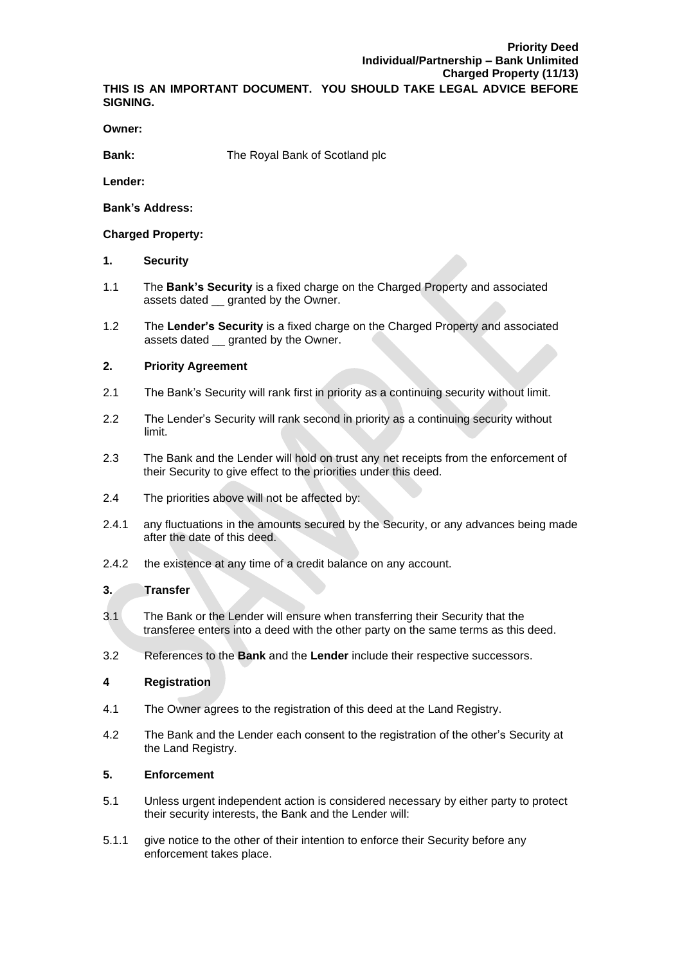**THIS IS AN IMPORTANT DOCUMENT. YOU SHOULD TAKE LEGAL ADVICE BEFORE SIGNING.**

**Owner:**

**Bank:** The Royal Bank of Scotland plc

**Lender:**

**Bank's Address:**

### **Charged Property:**

## **1. Security**

- 1.1 The **Bank's Security** is a fixed charge on the Charged Property and associated assets dated \_\_ granted by the Owner.
- 1.2 The **Lender's Security** is a fixed charge on the Charged Property and associated assets dated \_\_ granted by the Owner.

# **2. Priority Agreement**

- 2.1 The Bank's Security will rank first in priority as a continuing security without limit.
- 2.2 The Lender's Security will rank second in priority as a continuing security without limit.
- 2.3 The Bank and the Lender will hold on trust any net receipts from the enforcement of their Security to give effect to the priorities under this deed.
- 2.4 The priorities above will not be affected by:
- 2.4.1 any fluctuations in the amounts secured by the Security, or any advances being made after the date of this deed.
- 2.4.2 the existence at any time of a credit balance on any account.

### **3. Transfer**

- 3.1 The Bank or the Lender will ensure when transferring their Security that the transferee enters into a deed with the other party on the same terms as this deed.
- 3.2 References to the **Bank** and the **Lender** include their respective successors.

### **4 Registration**

- 4.1 The Owner agrees to the registration of this deed at the Land Registry.
- 4.2 The Bank and the Lender each consent to the registration of the other's Security at the Land Registry.

# **5. Enforcement**

- 5.1 Unless urgent independent action is considered necessary by either party to protect their security interests, the Bank and the Lender will:
- 5.1.1 give notice to the other of their intention to enforce their Security before any enforcement takes place.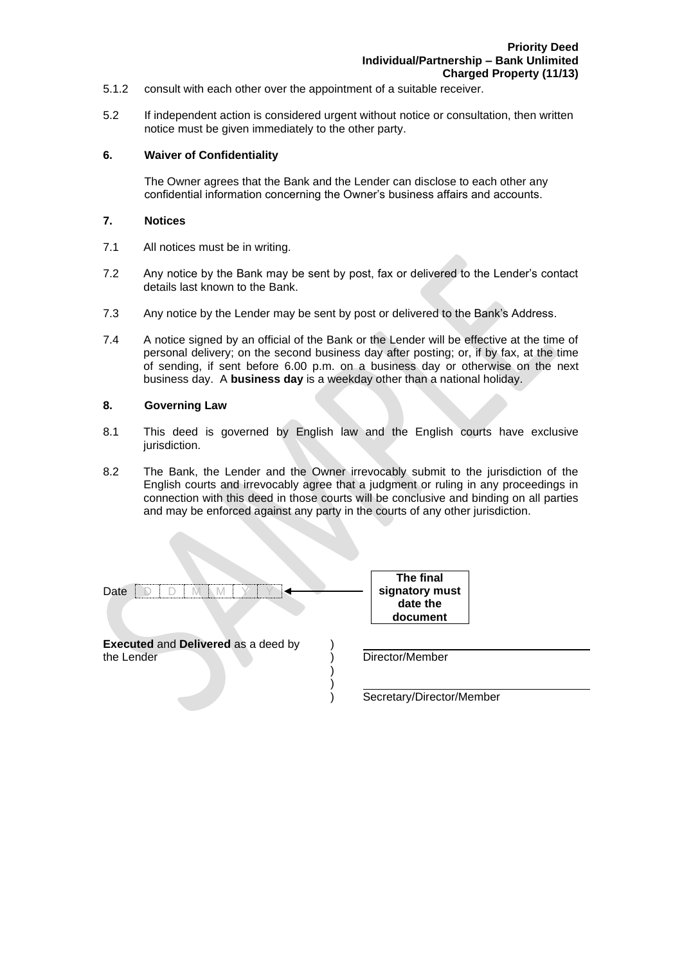- 5.1.2 consult with each other over the appointment of a suitable receiver.
- 5.2 If independent action is considered urgent without notice or consultation, then written notice must be given immediately to the other party.

#### **6. Waiver of Confidentiality**

The Owner agrees that the Bank and the Lender can disclose to each other any confidential information concerning the Owner's business affairs and accounts.

### **7. Notices**

- 7.1 All notices must be in writing.
- 7.2 Any notice by the Bank may be sent by post, fax or delivered to the Lender's contact details last known to the Bank.
- 7.3 Any notice by the Lender may be sent by post or delivered to the Bank's Address.
- 7.4 A notice signed by an official of the Bank or the Lender will be effective at the time of personal delivery; on the second business day after posting; or, if by fax, at the time of sending, if sent before 6.00 p.m. on a business day or otherwise on the next business day. A **business day** is a weekday other than a national holiday.

#### **8. Governing Law**

- 8.1 This deed is governed by English law and the English courts have exclusive jurisdiction.
- 8.2 The Bank, the Lender and the Owner irrevocably submit to the jurisdiction of the English courts and irrevocably agree that a judgment or ruling in any proceedings in connection with this deed in those courts will be conclusive and binding on all parties and may be enforced against any party in the courts of any other jurisdiction.

| Date                                                     | The final<br>signatory must<br>date the<br>document |
|----------------------------------------------------------|-----------------------------------------------------|
| <b>Executed and Delivered as a deed by</b><br>the Lender | Director/Member                                     |
|                                                          | Secretary/Director/Member                           |